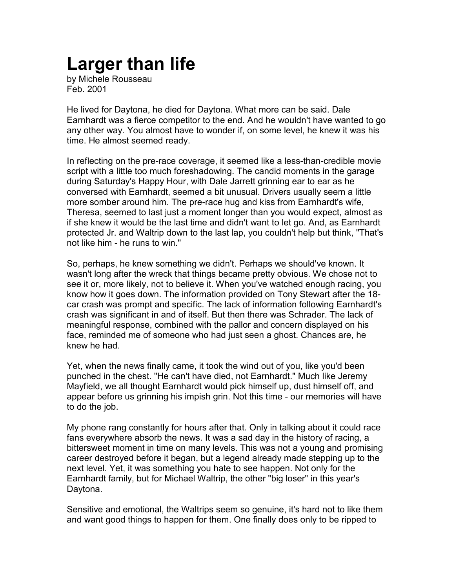## **Larger than life**

by Michele Rousseau Feb. 2001

He lived for Daytona, he died for Daytona. What more can be said. Dale Earnhardt was a fierce competitor to the end. And he wouldn't have wanted to go any other way. You almost have to wonder if, on some level, he knew it was his time. He almost seemed ready.

In reflecting on the pre-race coverage, it seemed like a less-than-credible movie script with a little too much foreshadowing. The candid moments in the garage during Saturday's Happy Hour, with Dale Jarrett grinning ear to ear as he conversed with Earnhardt, seemed a bit unusual. Drivers usually seem a little more somber around him. The pre-race hug and kiss from Earnhardt's wife, Theresa, seemed to last just a moment longer than you would expect, almost as if she knew it would be the last time and didn't want to let go. And, as Earnhardt protected Jr. and Waltrip down to the last lap, you couldn't help but think, "That's not like him - he runs to win."

So, perhaps, he knew something we didn't. Perhaps we should've known. It wasn't long after the wreck that things became pretty obvious. We chose not to see it or, more likely, not to believe it. When you've watched enough racing, you know how it goes down. The information provided on Tony Stewart after the 18 car crash was prompt and specific. The lack of information following Earnhardt's crash was significant in and of itself. But then there was Schrader. The lack of meaningful response, combined with the pallor and concern displayed on his face, reminded me of someone who had just seen a ghost. Chances are, he knew he had.

Yet, when the news finally came, it took the wind out of you, like you'd been punched in the chest. "He can't have died, not Earnhardt." Much like Jeremy Mayfield, we all thought Earnhardt would pick himself up, dust himself off, and appear before us grinning his impish grin. Not this time - our memories will have to do the job.

My phone rang constantly for hours after that. Only in talking about it could race fans everywhere absorb the news. It was a sad day in the history of racing, a bittersweet moment in time on many levels. This was not a young and promising career destroyed before it began, but a legend already made stepping up to the next level. Yet, it was something you hate to see happen. Not only for the Earnhardt family, but for Michael Waltrip, the other "big loser" in this year's Daytona.

Sensitive and emotional, the Waltrips seem so genuine, it's hard not to like them and want good things to happen for them. One finally does only to be ripped to